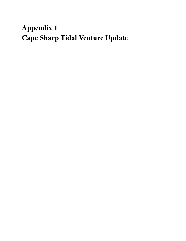## **Appendix 1 Cape Sharp Tidal Venture Update**

- 
- - -
		- - -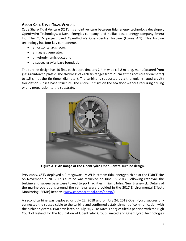## **ABOUT CAPE SHARP TIDAL VENTURE**

Cape Sharp Tidal Venture (CSTV) is a joint venture between tidal energy technology developer, OpenHydro Technology, a Naval Energies company, and Halifax-based energy company Emera Inc. The CSTV project used OpenHydro's Open-Centre Turbine (Figure A.1). This turbine technology has four key components:

- a horizontal axis rotor;
- a magnet generator;
- a hydrodynamic duct; and
- a subsea gravity base foundation.

The turbine design has 10 fins, each approximately 2.4 m wide x 4.8 m long, manufactured from glass-reinforced plastic. The thickness of each fin ranges from 21 cm at the root (outer diameter) to 1.5 cm at the tip (inner diameter). The turbine is supported by a triangular-shaped gravity foundation subsea base structure. The entire unit sits on the sea floor without requiring drilling or any preparation to the substrate.



**Figure A.1: An image of the OpenHydro Open-Centre Turbine design.** 

Previously, CSTV deployed a 2-megawatt (MW) in-stream tidal energy turbine at the FORCE site on November 7, 2016. This turbine was retrieved on June 15, 2017. Following retrieval, the turbine and subsea base were towed to port facilities in Saint John, New Brunswick. Details of the marine operations around the retrieval were provided in the 2017 Environmental Effects Monitoring (EEMP) Reports [\(www.capesharptidal.com/eemp/\)](http://www.capesharptidal.com/eemp/).

A second turbine was deployed on July 22, 2018 and on July 24, 2018 OpenHydro successfully connected the subsea cable to the turbine and confirmed establishment of communication with the turbine systems. Two days later, on July 26, 2018 Naval Energiesfiled a petition with the High Court of Ireland for the liquidation of OpenHydro Group Limited and OpenHydro Technologies